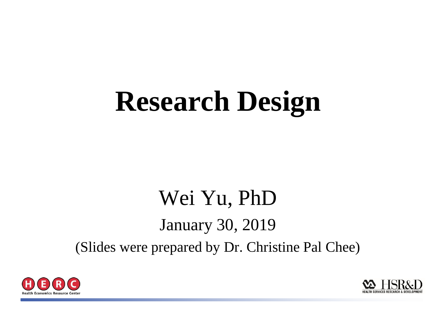# **Research Design**

#### Wei Yu, PhD January 30, 2019 (Slides were prepared by Dr. Christine Pal Chee)



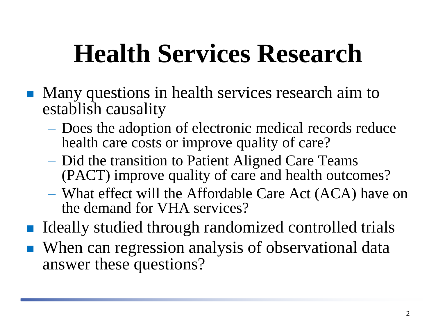# **Health Services Research**

- **Many questions in health services research aim to** establish causality
	- Does the adoption of electronic medical records reduce health care costs or improve quality of care?
	- Did the transition to Patient Aligned Care Teams (PACT) improve quality of care and health outcomes?
	- What effect will the Affordable Care Act (ACA) have on the demand for VHA services?
- Ideally studied through randomized controlled trials
- When can regression analysis of observational data answer these questions?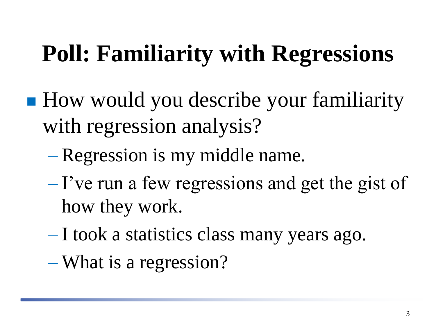### **Poll: Familiarity with Regressions**

- How would you describe your familiarity with regression analysis?
	- Regression is my middle name.
	- $-I$ 've run a few regressions and get the gist of how they work.
	- I took a statistics class many years ago.
	- What is a regression?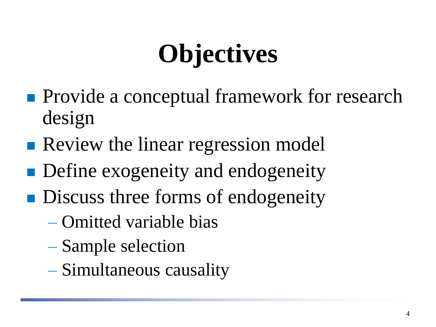# **Objectives**

- **Provide a conceptual framework for research** design
- **Review the linear regression model**
- **Define exogeneity and endogeneity**
- **Discuss three forms of endogeneity** 
	- Omitted variable bias
	- Sample selection
	- Simultaneous causality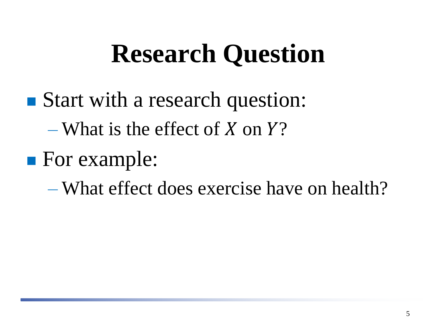## **Research Question**

- Start with a research question:
	- What is the effect of X on  $Y$ ?
- **For example:**

– What effect does exercise have on health?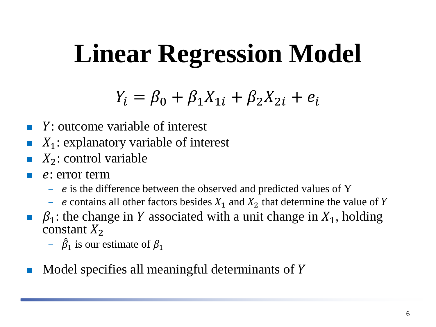# **Linear Regression Model**

#### $Y_i = \beta_0 + \beta_1 X_{1i} + \beta_2 X_{2i} + e_i$

- $\blacksquare$  Y: outcome variable of interest
- $\blacksquare$   $X_1$ : explanatory variable of interest
- $X_2$ : control variable
- : error term
	- $e$  is the difference between the observed and predicted values of Y
	- e contains all other factors besides  $X_1$  and  $X_2$  that determine the value of Y
- $\beta_1$ : the change in Y associated with a unit change in  $X_1$ , holding constant  $X_2$ 
	- $\hat{\beta}_1$  is our estimate of  $\beta_1$
- $\blacksquare$  Model specifies all meaningful determinants of Y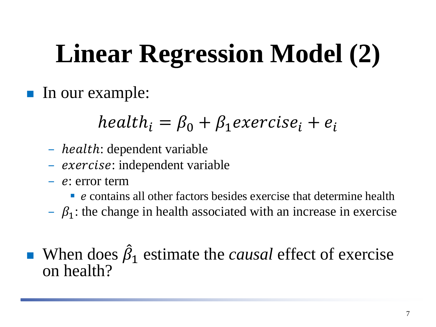# **Linear Regression Model (2)**

In our example:

#### $health_i = \beta_0 + \beta_1 exercise_i + e_i$

- *health*: dependent variable
- exercise: independent variable
- $-e$ : error term

 $\blacksquare$  e contains all other factors besides exercise that determine health

 $\beta_1$ : the change in health associated with an increase in exercise

**When does**  $\hat{\beta}_1$  **estimate the** *causal* **effect of exercise** on health?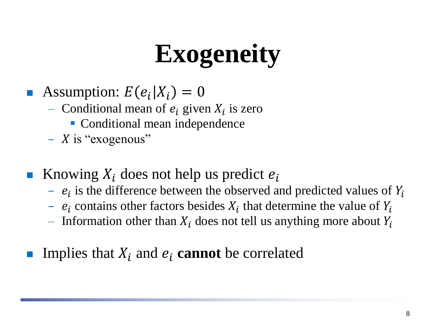# **Exogeneity**

- Assumption:  $E(e_i|X_i) = 0$ 
	- Conditional mean of  $e_i$  given  $X_i$  is zero
		- Conditional mean independence
	- $X$  is "exogenous"
- **K**nowing  $X_i$  does not help us predict  $e_i$ 
	- $e_i$  is the difference between the observed and predicted values of  $Y_i$
	- $e_i$  contains other factors besides  $X_i$  that determine the value of  $Y_i$
	- Information other than  $X_i$  does not tell us anything more about  $Y_i$
- Implies that  $X_i$  and  $e_i$  **cannot** be correlated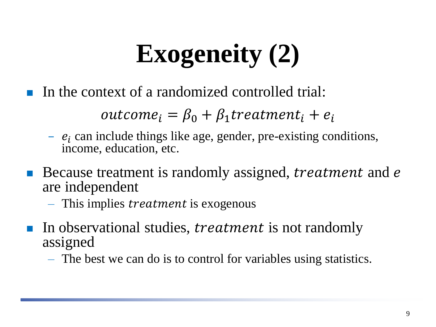# **Exogeneity (2)**

In the context of a randomized controlled trial:

 $outcome_i = \beta_0 + \beta_1 treatment_i + e_i$ 

- $-e_i$  can include things like age, gender, pre-existing conditions, income, education, etc.
- Because treatment is randomly assigned, *treatment* and *e* are independent
	- $-$  This implies *treatment* is exogenous
- In observational studies, *treatment* is not randomly assigned
	- The best we can do is to control for variables using statistics.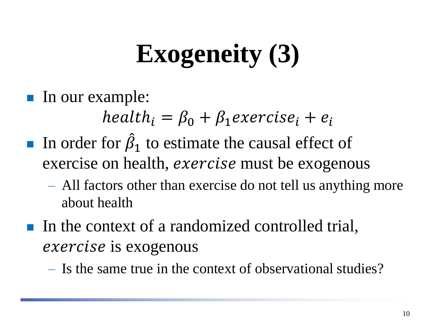# **Exogeneity (3)**

In our example:

 $health_i = \beta_0 + \beta_1 exercise_i + e_i$ 

- In order for  $\hat{\beta}_1$  to estimate the causal effect of exercise on health, *exercise* must be exogenous
	- All factors other than exercise do not tell us anything more about health
- In the context of a randomized controlled trial, exercise is exogenous
	- Is the same true in the context of observational studies?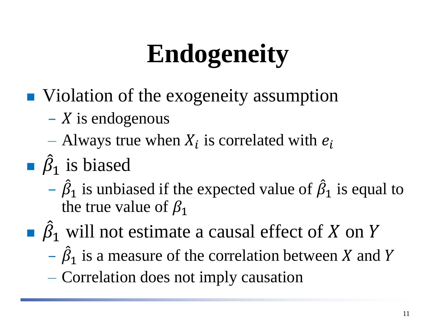# **Endogeneity**

- Violation of the exogeneity assumption
	- $X$  is endogenous
	- Always true when  $X_i$  is correlated with  $e_i$
- $\hat{\beta}_1$  is biased
	- $-\hat{\beta}_1$  is unbiased if the expected value of  $\hat{\beta}_1$  is equal to the true value of  $\beta_1$
- $\widehat{\beta}_1$  will not estimate a causal effect of X on Y
	- $-\hat{\beta}_1$  is a measure of the correlation between X and Y
	- Correlation does not imply causation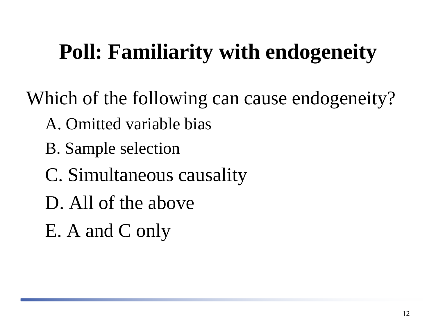#### **Poll: Familiarity with endogeneity**

Which of the following can cause endogeneity?

- A. Omitted variable bias
- B. Sample selection
- C. Simultaneous causality
- D. All of the above
- E. A and C only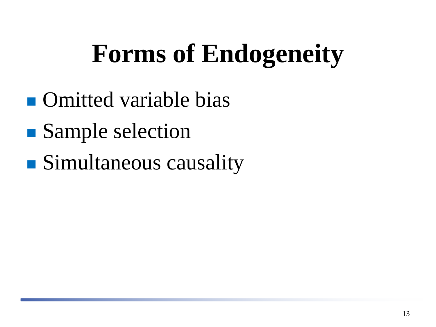# **Forms of Endogeneity**

- **n** Omitted variable bias
- Sample selection
- **Simultaneous causality**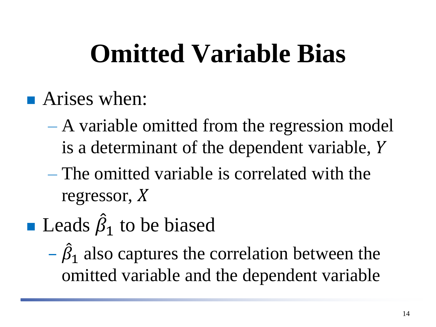# **Omitted Variable Bias**

- **Arises when:** 
	- A variable omitted from the regression model is a determinant of the dependent variable,
	- The omitted variable is correlated with the regressor, X
- **Leads**  $\hat{\beta}_1$  to be biased
	- $-\hat{\beta}_1$  also captures the correlation between the omitted variable and the dependent variable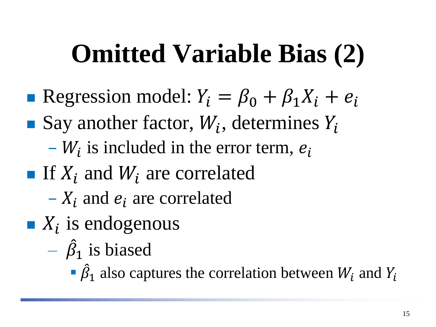## **Omitted Variable Bias (2)**

- Regression model:  $Y_i = \beta_0 + \beta_1 X_i + e_i$
- Say another factor,  $W_i$ , determines  $Y_i$ 
	- $-W_i$  is included in the error term,  $e_i$
- If  $X_i$  and  $W_i$  are correlated
	- $-X_i$  and  $e_i$  are correlated
- $\blacksquare$   $X_i$  is endogenous
	- $\hat{\beta}_1$  is biased
		- $\hat{\beta}_1$  also captures the correlation between  $W_i$  and  $Y_i$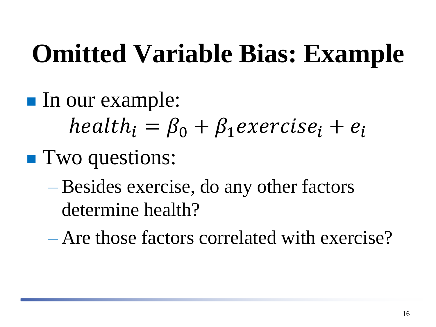## **Omitted Variable Bias: Example**

- In our example:  $health_i = \beta_0 + \beta_1 exercise_i + e_i$ **Two questions:** 
	- Besides exercise, do any other factors determine health?
	- Are those factors correlated with exercise?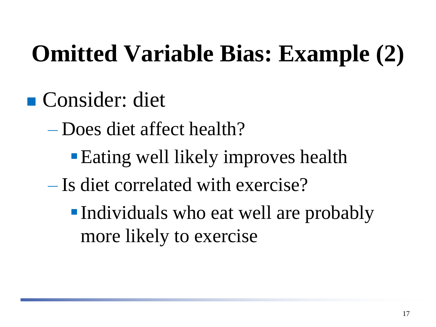### **Omitted Variable Bias: Example (2)**

- Consider: diet
	- Does diet affect health?
		- **Eating well likely improves health**
	- Is diet correlated with exercise?
		- ▪Individuals who eat well are probably more likely to exercise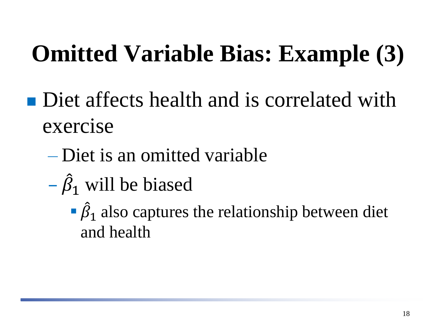### **Omitted Variable Bias: Example (3)**

- Diet affects health and is correlated with exercise
	- Diet is an omitted variable
	- $-\hat{\beta}_1$  will be biased
		- $\hat{\beta}_1$  also captures the relationship between diet and health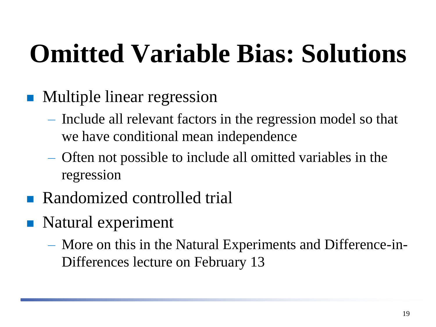# **Omitted Variable Bias: Solutions**

- Multiple linear regression
	- Include all relevant factors in the regression model so that we have conditional mean independence
	- Often not possible to include all omitted variables in the regression
- Randomized controlled trial
- Natural experiment
	- More on this in the Natural Experiments and Difference-in-Differences lecture on February 13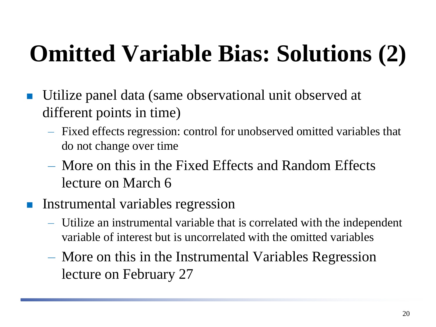### **Omitted Variable Bias: Solutions (2)**

- Utilize panel data (same observational unit observed at different points in time)
	- Fixed effects regression: control for unobserved omitted variables that do not change over time
	- More on this in the Fixed Effects and Random Effects lecture on March 6
- **Instrumental variables regression** 
	- Utilize an instrumental variable that is correlated with the independent variable of interest but is uncorrelated with the omitted variables
	- More on this in the Instrumental Variables Regression lecture on February 27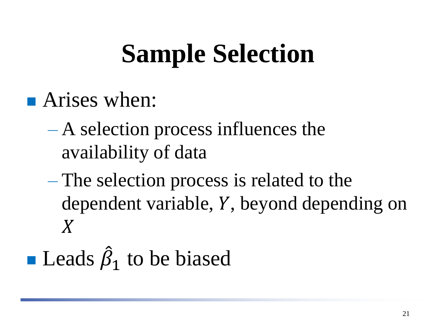# **Sample Selection**

- **Arises when:** 
	- A selection process influences the availability of data
	- The selection process is related to the dependent variable,  $Y$ , beyond depending on  $\boldsymbol{X}$
- $\blacksquare$  Leads  $\hat{\beta}$  $i_1$  to be biased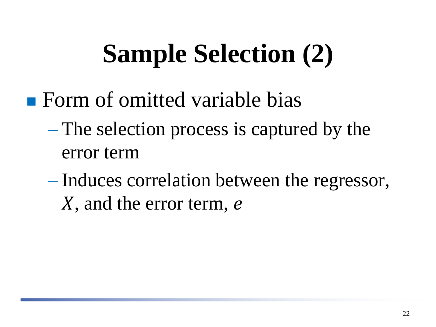# **Sample Selection (2)**

- **Form of omitted variable bias** 
	- The selection process is captured by the error term
	- Induces correlation between the regressor, X, and the error term, e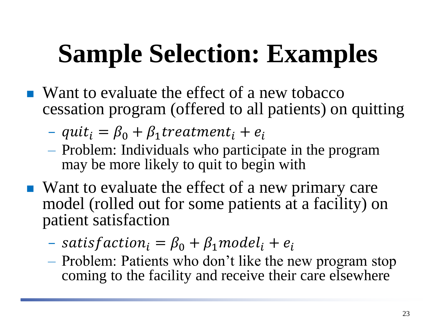# **Sample Selection: Examples**

- Want to evaluate the effect of a new tobacco cessation program (offered to all patients) on quitting
	- $-$  quit<sub>i</sub> =  $\beta_0 + \beta_1$  treatment<sub>i</sub> +  $e_i$
	- Problem: Individuals who participate in the program may be more likely to quit to begin with
- Want to evaluate the effect of a new primary care model (rolled out for some patients at a facility) on patient satisfaction
	- $-$  satisfaction<sub>i</sub> =  $\beta_0 + \beta_1$  model<sub>i</sub> + e<sub>i</sub>
	- Problem: Patients who don't like the new program stop coming to the facility and receive their care elsewhere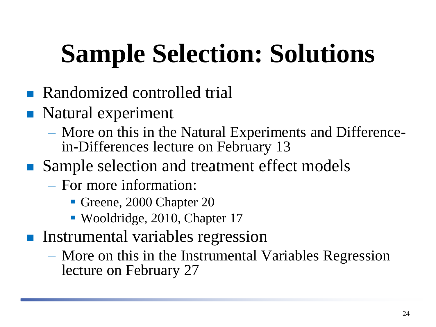# **Sample Selection: Solutions**

- **Randomized controlled trial**
- Natural experiment
	- More on this in the Natural Experiments and Differencein-Differences lecture on February 13
- Sample selection and treatment effect models
	- For more information:
		- Greene, 2000 Chapter 20
		- Wooldridge, 2010, Chapter 17
- **Instrumental variables regression** 
	- More on this in the Instrumental Variables Regression lecture on February 27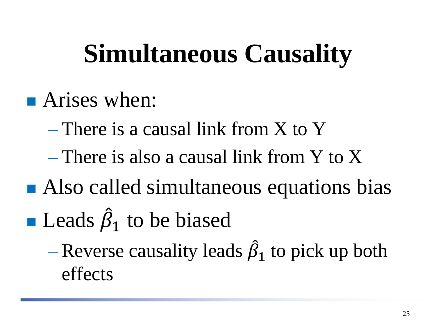### **Simultaneous Causality**

- **Arises when:** 
	- There is a causal link from X to Y
	- There is also a causal link from Y to X
- Also called simultaneous equations bias  $\blacksquare$  Leads  $\hat{\beta}$  $i_1$  to be biased
	- Reverse causality leads  $\hat{\beta}_1$  to pick up both effects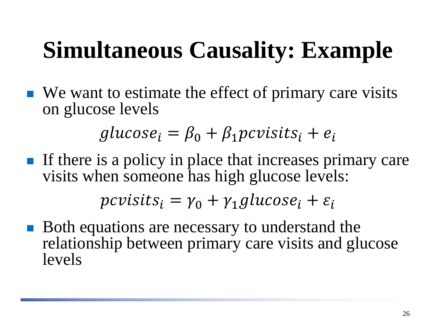#### **Simultaneous Causality: Example**

 $\blacksquare$  We want to estimate the effect of primary care visits on glucose levels

 $glucose_i = \beta_0 + \beta_1 \text{p}cvisits_i + e_i$ 

If there is a policy in place that increases primary care visits when someone has high glucose levels:

$$
pcvisits_i = \gamma_0 + \gamma_1glucose_i + \varepsilon_i
$$

■ Both equations are necessary to understand the relationship between primary care visits and glucose levels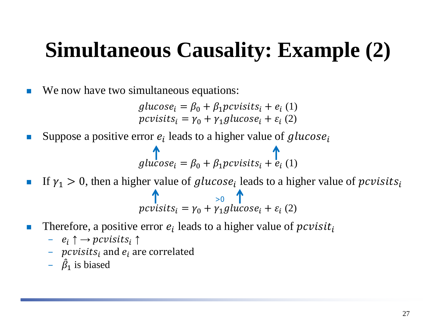#### **Simultaneous Causality: Example (2)**

■ We now have two simultaneous equations:

 $glucose_i = \beta_0 + \beta_1 pcvisits_i + e_i$  (1)  $pcvisits_i = \gamma_0 + \gamma_1 glucose_i + \varepsilon_i(2)$ 

Suppose a positive error  $e_i$  leads to a higher value of glucose<sub>i</sub>

$$
glucosei = \beta_0 + \beta_1 pcvisits_i + e_i (1)
$$

- If  $\gamma_1 > 0$ , then a higher value of glucose<sub>i</sub> leads to a higher value of pcvisits<sub>i</sub>  $\textit{pcvists}_i = \gamma_0 + \gamma_1 \textit{glucose}_i + \varepsilon_i \text{ (2)}$  $\uparrow$   $\qquad \qquad$  >0  $\uparrow$
- **Therefore, a positive error**  $e_i$  **leads to a higher value of** *pcvisit<sub>i</sub>* 
	- $-e_i \uparrow \rightarrow pcvisits_i \uparrow$
	- $pcvisits_i$  and  $e_i$  are correlated
	- $\hat{\beta}_1$  is biased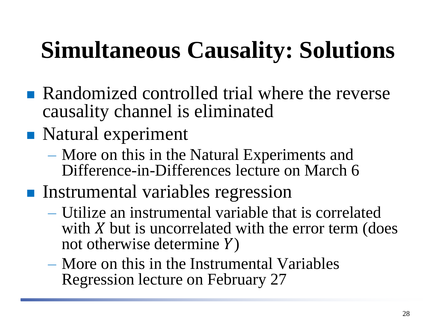### **Simultaneous Causality: Solutions**

- **Randomized controlled trial where the reverse** causality channel is eliminated
- Natural experiment
	- More on this in the Natural Experiments and Difference-in-Differences lecture on March 6
- **Instrumental variables regression** 
	- Utilize an instrumental variable that is correlated with  $X$  but is uncorrelated with the error term (does not otherwise determine  $Y$ )
	- More on this in the Instrumental Variables Regression lecture on February 27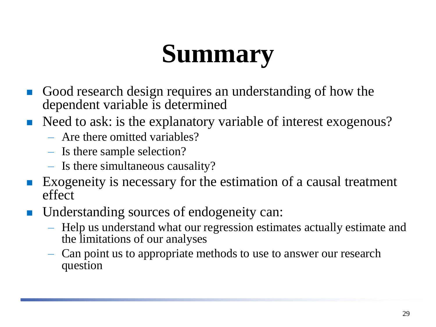# **Summary**

- Good research design requires an understanding of how the dependent variable is determined
- Need to ask: is the explanatory variable of interest exogenous?
	- Are there omitted variables?
	- Is there sample selection?
	- Is there simultaneous causality?
- Exogeneity is necessary for the estimation of a causal treatment effect
- Understanding sources of endogeneity can:
	- Help us understand what our regression estimates actually estimate and the limitations of our analyses
	- Can point us to appropriate methods to use to answer our research question